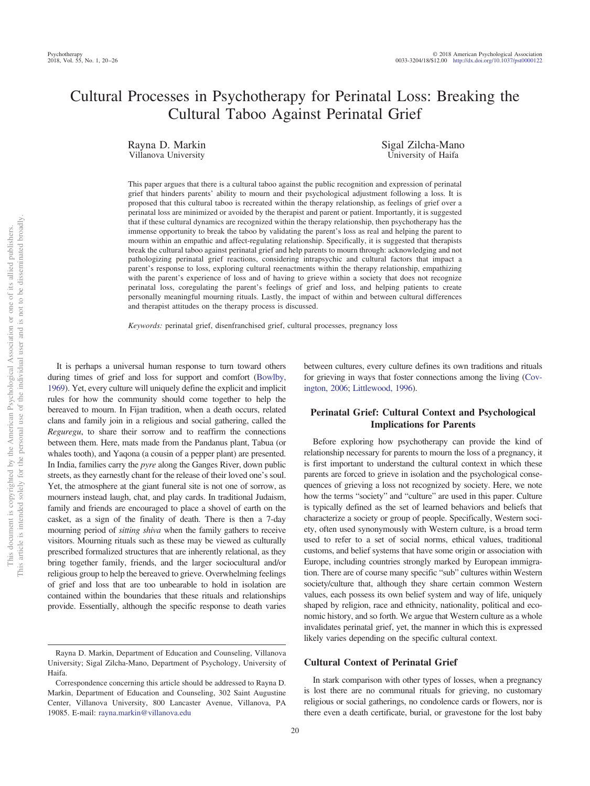# Cultural Processes in Psychotherapy for Perinatal Loss: Breaking the Cultural Taboo Against Perinatal Grief

Rayna D. Markin Villanova University

Sigal Zilcha-Mano University of Haifa

This paper argues that there is a cultural taboo against the public recognition and expression of perinatal grief that hinders parents' ability to mourn and their psychological adjustment following a loss. It is proposed that this cultural taboo is recreated within the therapy relationship, as feelings of grief over a perinatal loss are minimized or avoided by the therapist and parent or patient. Importantly, it is suggested that if these cultural dynamics are recognized within the therapy relationship, then psychotherapy has the immense opportunity to break the taboo by validating the parent's loss as real and helping the parent to mourn within an empathic and affect-regulating relationship. Specifically, it is suggested that therapists break the cultural taboo against perinatal grief and help parents to mourn through: acknowledging and not pathologizing perinatal grief reactions, considering intrapsychic and cultural factors that impact a parent's response to loss, exploring cultural reenactments within the therapy relationship, empathizing with the parent's experience of loss and of having to grieve within a society that does not recognize perinatal loss, coregulating the parent's feelings of grief and loss, and helping patients to create personally meaningful mourning rituals. Lastly, the impact of within and between cultural differences and therapist attitudes on the therapy process is discussed.

*Keywords:* perinatal grief, disenfranchised grief, cultural processes, pregnancy loss

It is perhaps a universal human response to turn toward others during times of grief and loss for support and comfort [\(Bowlby,](#page-5-0) [1969\)](#page-5-0). Yet, every culture will uniquely define the explicit and implicit rules for how the community should come together to help the bereaved to mourn. In Fijan tradition, when a death occurs, related clans and family join in a religious and social gathering, called the *Reguregu*, to share their sorrow and to reaffirm the connections between them. Here, mats made from the Pandanus plant, Tabua (or whales tooth), and Yaqona (a cousin of a pepper plant) are presented. In India, families carry the *pyre* along the Ganges River, down public streets, as they earnestly chant for the release of their loved one's soul. Yet, the atmosphere at the giant funeral site is not one of sorrow, as mourners instead laugh, chat, and play cards. In traditional Judaism, family and friends are encouraged to place a shovel of earth on the casket, as a sign of the finality of death. There is then a 7-day mourning period of *sitting shiva* when the family gathers to receive visitors. Mourning rituals such as these may be viewed as culturally prescribed formalized structures that are inherently relational, as they bring together family, friends, and the larger sociocultural and/or religious group to help the bereaved to grieve. Overwhelming feelings of grief and loss that are too unbearable to hold in isolation are contained within the boundaries that these rituals and relationships provide. Essentially, although the specific response to death varies between cultures, every culture defines its own traditions and rituals for grieving in ways that foster connections among the living [\(Cov](#page-5-1)[ington, 2006;](#page-5-1) [Littlewood, 1996\)](#page-5-2).

## **Perinatal Grief: Cultural Context and Psychological Implications for Parents**

Before exploring how psychotherapy can provide the kind of relationship necessary for parents to mourn the loss of a pregnancy, it is first important to understand the cultural context in which these parents are forced to grieve in isolation and the psychological consequences of grieving a loss not recognized by society. Here, we note how the terms "society" and "culture" are used in this paper. Culture is typically defined as the set of learned behaviors and beliefs that characterize a society or group of people. Specifically, Western society, often used synonymously with Western culture, is a broad term used to refer to a set of social norms, ethical values, traditional customs, and belief systems that have some origin or association with Europe, including countries strongly marked by European immigration. There are of course many specific "sub" cultures within Western society/culture that, although they share certain common Western values, each possess its own belief system and way of life, uniquely shaped by religion, race and ethnicity, nationality, political and economic history, and so forth. We argue that Western culture as a whole invalidates perinatal grief, yet, the manner in which this is expressed likely varies depending on the specific cultural context.

#### **Cultural Context of Perinatal Grief**

In stark comparison with other types of losses, when a pregnancy is lost there are no communal rituals for grieving, no customary religious or social gatherings, no condolence cards or flowers, nor is there even a death certificate, burial, or gravestone for the lost baby

Rayna D. Markin, Department of Education and Counseling, Villanova University; Sigal Zilcha-Mano, Department of Psychology, University of Haifa.

Correspondence concerning this article should be addressed to Rayna D. Markin, Department of Education and Counseling, 302 Saint Augustine Center, Villanova University, 800 Lancaster Avenue, Villanova, PA 19085. E-mail: [rayna.markin@villanova.edu](mailto:rayna.markin@villanova.edu)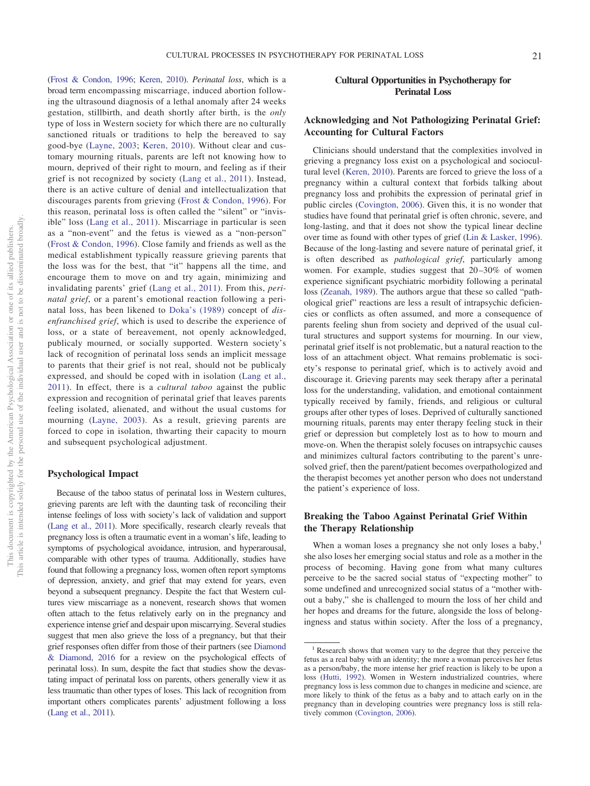[\(Frost & Condon, 1996;](#page-5-3) [Keren, 2010\)](#page-5-4). *Perinatal loss*, which is a broad term encompassing miscarriage, induced abortion following the ultrasound diagnosis of a lethal anomaly after 24 weeks gestation, stillbirth, and death shortly after birth, is the *only* type of loss in Western society for which there are no culturally sanctioned rituals or traditions to help the bereaved to say good-bye [\(Layne, 2003;](#page-5-5) [Keren, 2010\)](#page-5-4). Without clear and customary mourning rituals, parents are left not knowing how to mourn, deprived of their right to mourn, and feeling as if their grief is not recognized by society [\(Lang et al., 2011\)](#page-5-6). Instead, there is an active culture of denial and intellectualization that discourages parents from grieving [\(Frost & Condon, 1996\)](#page-5-3). For this reason, perinatal loss is often called the "silent" or "invisible" loss [\(Lang et al., 2011\)](#page-5-6). Miscarriage in particular is seen as a "non-event" and the fetus is viewed as a "non-person" [\(Frost & Condon, 1996\)](#page-5-3). Close family and friends as well as the medical establishment typically reassure grieving parents that the loss was for the best, that "it" happens all the time, and encourage them to move on and try again, minimizing and invalidating parents' grief [\(Lang et al., 2011\)](#page-5-6). From this, *perinatal grief*, or a parent's emotional reaction following a perinatal loss, has been likened to [Doka's \(1989\)](#page-5-7) concept of *disenfranchised grief*, which is used to describe the experience of loss, or a state of bereavement, not openly acknowledged, publicaly mourned, or socially supported. Western society's lack of recognition of perinatal loss sends an implicit message to parents that their grief is not real, should not be publicaly expressed, and should be coped with in isolation [\(Lang et al.,](#page-5-6) [2011\)](#page-5-6). In effect, there is a *cultural taboo* against the public expression and recognition of perinatal grief that leaves parents feeling isolated, alienated, and without the usual customs for mourning [\(Layne, 2003\)](#page-5-5). As a result, grieving parents are forced to cope in isolation, thwarting their capacity to mourn and subsequent psychological adjustment.

# **Psychological Impact**

Because of the taboo status of perinatal loss in Western cultures, grieving parents are left with the daunting task of reconciling their intense feelings of loss with society's lack of validation and support [\(Lang et al., 2011\)](#page-5-6). More specifically, research clearly reveals that pregnancy loss is often a traumatic event in a woman's life, leading to symptoms of psychological avoidance, intrusion, and hyperarousal, comparable with other types of trauma. Additionally, studies have found that following a pregnancy loss, women often report symptoms of depression, anxiety, and grief that may extend for years, even beyond a subsequent pregnancy. Despite the fact that Western cultures view miscarriage as a nonevent, research shows that women often attach to the fetus relatively early on in the pregnancy and experience intense grief and despair upon miscarrying. Several studies suggest that men also grieve the loss of a pregnancy, but that their grief responses often differ from those of their partners (see [Diamond](#page-5-8) [& Diamond, 2016](#page-5-8) for a review on the psychological effects of perinatal loss). In sum, despite the fact that studies show the devastating impact of perinatal loss on parents, others generally view it as less traumatic than other types of loses. This lack of recognition from important others complicates parents' adjustment following a loss [\(Lang et al., 2011\)](#page-5-6).

# **Cultural Opportunities in Psychotherapy for Perinatal Loss**

# **Acknowledging and Not Pathologizing Perinatal Grief: Accounting for Cultural Factors**

Clinicians should understand that the complexities involved in grieving a pregnancy loss exist on a psychological and sociocultural level [\(Keren, 2010\)](#page-5-4). Parents are forced to grieve the loss of a pregnancy within a cultural context that forbids talking about pregnancy loss and prohibits the expression of perinatal grief in public circles [\(Covington, 2006\)](#page-5-1). Given this, it is no wonder that studies have found that perinatal grief is often chronic, severe, and long-lasting, and that it does not show the typical linear decline over time as found with other types of grief [\(Lin & Lasker, 1996\)](#page-5-9). Because of the long-lasting and severe nature of perinatal grief, it is often described as *pathological grief*, particularly among women. For example, studies suggest that 20–30% of women experience significant psychiatric morbidity following a perinatal loss [\(Zeanah, 1989\)](#page-6-0). The authors argue that these so called "pathological grief" reactions are less a result of intrapsychic deficiencies or conflicts as often assumed, and more a consequence of parents feeling shun from society and deprived of the usual cultural structures and support systems for mourning. In our view, perinatal grief itself is not problematic, but a natural reaction to the loss of an attachment object. What remains problematic is society's response to perinatal grief, which is to actively avoid and discourage it. Grieving parents may seek therapy after a perinatal loss for the understanding, validation, and emotional containment typically received by family, friends, and religious or cultural groups after other types of loses. Deprived of culturally sanctioned mourning rituals, parents may enter therapy feeling stuck in their grief or depression but completely lost as to how to mourn and move-on. When the therapist solely focuses on intrapsychic causes and minimizes cultural factors contributing to the parent's unresolved grief, then the parent/patient becomes overpathologized and the therapist becomes yet another person who does not understand the patient's experience of loss.

# **Breaking the Taboo Against Perinatal Grief Within the Therapy Relationship**

When a woman loses a pregnancy she not only loses a baby, $<sup>1</sup>$ </sup> she also loses her emerging social status and role as a mother in the process of becoming. Having gone from what many cultures perceive to be the sacred social status of "expecting mother" to some undefined and unrecognized social status of a "mother without a baby," she is challenged to mourn the loss of her child and her hopes and dreams for the future, alongside the loss of belongingness and status within society. After the loss of a pregnancy,

<sup>&</sup>lt;sup>1</sup> Research shows that women vary to the degree that they perceive the fetus as a real baby with an identity; the more a woman perceives her fetus as a person/baby, the more intense her grief reaction is likely to be upon a loss [\(Hutti, 1992\)](#page-5-10). Women in Western industrialized countries, where pregnancy loss is less common due to changes in medicine and science, are more likely to think of the fetus as a baby and to attach early on in the pregnancy than in developing countries were pregnancy loss is still relatively common [\(Covington, 2006\)](#page-5-1).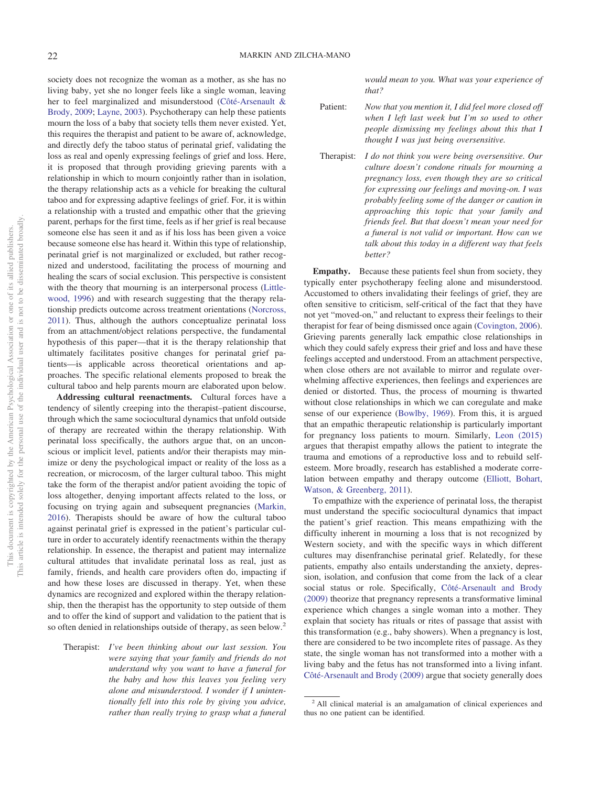society does not recognize the woman as a mother, as she has no living baby, yet she no longer feels like a single woman, leaving her to feel marginalized and misunderstood [\(Côté-Arsenault &](#page-5-11) [Brody, 2009;](#page-5-11) [Layne, 2003\)](#page-5-5). Psychotherapy can help these patients mourn the loss of a baby that society tells them never existed. Yet, this requires the therapist and patient to be aware of, acknowledge, and directly defy the taboo status of perinatal grief, validating the loss as real and openly expressing feelings of grief and loss. Here, it is proposed that through providing grieving parents with a relationship in which to mourn conjointly rather than in isolation, the therapy relationship acts as a vehicle for breaking the cultural taboo and for expressing adaptive feelings of grief. For, it is within a relationship with a trusted and empathic other that the grieving parent, perhaps for the first time, feels as if her grief is real because someone else has seen it and as if his loss has been given a voice because someone else has heard it. Within this type of relationship, perinatal grief is not marginalized or excluded, but rather recognized and understood, facilitating the process of mourning and healing the scars of social exclusion. This perspective is consistent with the theory that mourning is an interpersonal process [\(Little](#page-5-2)[wood, 1996\)](#page-5-2) and with research suggesting that the therapy relationship predicts outcome across treatment orientations [\(Norcross,](#page-6-1) [2011\)](#page-6-1). Thus, although the authors conceptualize perinatal loss from an attachment/object relations perspective, the fundamental hypothesis of this paper—that it is the therapy relationship that ultimately facilitates positive changes for perinatal grief patients—is applicable across theoretical orientations and approaches. The specific relational elements proposed to break the cultural taboo and help parents mourn are elaborated upon below.

**Addressing cultural reenactments.** Cultural forces have a tendency of silently creeping into the therapist–patient discourse, through which the same sociocultural dynamics that unfold outside of therapy are recreated within the therapy relationship. With perinatal loss specifically, the authors argue that, on an unconscious or implicit level, patients and/or their therapists may minimize or deny the psychological impact or reality of the loss as a recreation, or microcosm, of the larger cultural taboo. This might take the form of the therapist and/or patient avoiding the topic of loss altogether, denying important affects related to the loss, or focusing on trying again and subsequent pregnancies [\(Markin,](#page-6-2) [2016\)](#page-6-2). Therapists should be aware of how the cultural taboo against perinatal grief is expressed in the patient's particular culture in order to accurately identify reenactments within the therapy relationship. In essence, the therapist and patient may internalize cultural attitudes that invalidate perinatal loss as real, just as family, friends, and health care providers often do, impacting if and how these loses are discussed in therapy. Yet, when these dynamics are recognized and explored within the therapy relationship, then the therapist has the opportunity to step outside of them and to offer the kind of support and validation to the patient that is so often denied in relationships outside of therapy, as seen below.<sup>2</sup>

Therapist: *I've been thinking about our last session. You were saying that your family and friends do not understand why you want to have a funeral for the baby and how this leaves you feeling very alone and misunderstood. I wonder if I unintentionally fell into this role by giving you advice, rather than really trying to grasp what a funeral* *would mean to you. What was your experience of that?*

Patient: *Now that you mention it, I did feel more closed off when I left last week but I'm so used to other people dismissing my feelings about this that I thought I was just being oversensitive.*

Therapist: *I do not think you were being oversensitive. Our culture doesn't condone rituals for mourning a pregnancy loss, even though they are so critical for expressing our feelings and moving-on. I was probably feeling some of the danger or caution in approaching this topic that your family and friends feel. But that doesn't mean your need for a funeral is not valid or important. How can we talk about this today in a different way that feels better?*

**Empathy.** Because these patients feel shun from society, they typically enter psychotherapy feeling alone and misunderstood. Accustomed to others invalidating their feelings of grief, they are often sensitive to criticism, self-critical of the fact that they have not yet "moved-on," and reluctant to express their feelings to their therapist for fear of being dismissed once again [\(Covington, 2006\)](#page-5-1). Grieving parents generally lack empathic close relationships in which they could safely express their grief and loss and have these feelings accepted and understood. From an attachment perspective, when close others are not available to mirror and regulate overwhelming affective experiences, then feelings and experiences are denied or distorted. Thus, the process of mourning is thwarted without close relationships in which we can coregulate and make sense of our experience [\(Bowlby, 1969\)](#page-5-0). From this, it is argued that an empathic therapeutic relationship is particularly important for pregnancy loss patients to mourn. Similarly, [Leon \(2015\)](#page-5-12) argues that therapist empathy allows the patient to integrate the trauma and emotions of a reproductive loss and to rebuild selfesteem. More broadly, research has established a moderate correlation between empathy and therapy outcome [\(Elliott, Bohart,](#page-5-13) [Watson, & Greenberg, 2011\)](#page-5-13).

To empathize with the experience of perinatal loss, the therapist must understand the specific sociocultural dynamics that impact the patient's grief reaction. This means empathizing with the difficulty inherent in mourning a loss that is not recognized by Western society, and with the specific ways in which different cultures may disenfranchise perinatal grief. Relatedly, for these patients, empathy also entails understanding the anxiety, depression, isolation, and confusion that come from the lack of a clear social status or role. Specifically, [Côté-Arsenault and Brody](#page-5-11) [\(2009\)](#page-5-11) theorize that pregnancy represents a transformative liminal experience which changes a single woman into a mother. They explain that society has rituals or rites of passage that assist with this transformation (e.g., baby showers). When a pregnancy is lost, there are considered to be two incomplete rites of passage. As they state, the single woman has not transformed into a mother with a living baby and the fetus has not transformed into a living infant. [Côté-Arsenault and Brody \(2009\)](#page-5-11) argue that society generally does

<sup>&</sup>lt;sup>2</sup> All clinical material is an amalgamation of clinical experiences and thus no one patient can be identified.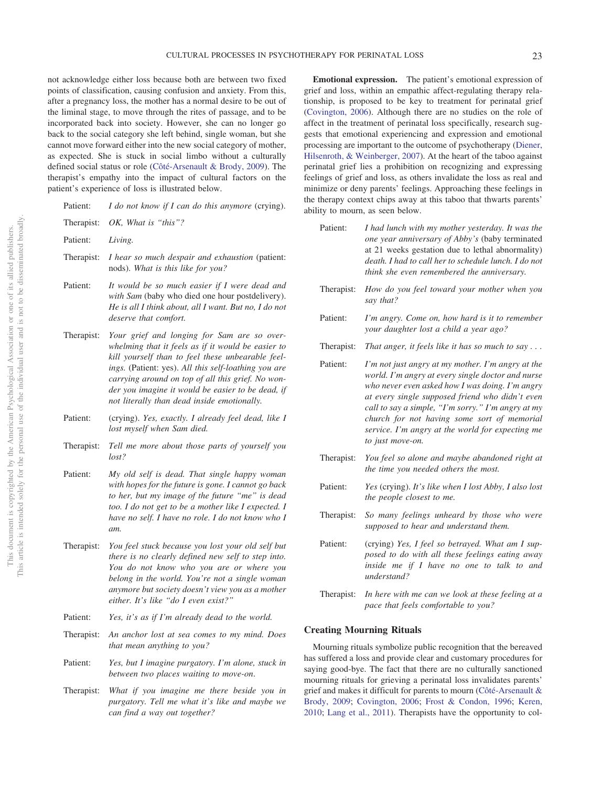not acknowledge either loss because both are between two fixed points of classification, causing confusion and anxiety. From this, after a pregnancy loss, the mother has a normal desire to be out of the liminal stage, to move through the rites of passage, and to be incorporated back into society. However, she can no longer go back to the social category she left behind, single woman, but she cannot move forward either into the new social category of mother, as expected. She is stuck in social limbo without a culturally defined social status or role [\(Côté-Arsenault & Brody, 2009\)](#page-5-11). The therapist's empathy into the impact of cultural factors on the patient's experience of loss is illustrated below.

| OK, What is "this"?<br>Living.<br>I hear so much despair and exhaustion (patient:<br>Therapist:<br>nods). What is this like for you?<br>It would be so much easier if I were dead and<br>with Sam (baby who died one hour postdelivery).<br>He is all I think about, all I want. But no, I do not<br>deserve that comfort.                                              |
|-------------------------------------------------------------------------------------------------------------------------------------------------------------------------------------------------------------------------------------------------------------------------------------------------------------------------------------------------------------------------|
|                                                                                                                                                                                                                                                                                                                                                                         |
|                                                                                                                                                                                                                                                                                                                                                                         |
|                                                                                                                                                                                                                                                                                                                                                                         |
|                                                                                                                                                                                                                                                                                                                                                                         |
| Your grief and longing for Sam are so over-<br>whelming that it feels as if it would be easier to<br>kill yourself than to feel these unbearable feel-<br>ings. (Patient: yes). All this self-loathing you are<br>carrying around on top of all this grief. No won-<br>der you imagine it would be easier to be dead, if<br>not literally than dead inside emotionally. |
| (crying). Yes, exactly. I already feel dead, like I<br>lost myself when Sam died.                                                                                                                                                                                                                                                                                       |
| Tell me more about those parts of yourself you<br>lost?                                                                                                                                                                                                                                                                                                                 |
| My old self is dead. That single happy woman<br>with hopes for the future is gone. I cannot go back<br>to her, but my image of the future "me" is dead<br>too. I do not get to be a mother like I expected. I<br>have no self. I have no role. I do not know who I<br>am.                                                                                               |
|                                                                                                                                                                                                                                                                                                                                                                         |

- Therapist: *You feel stuck because you lost your old self but there is no clearly defined new self to step into. You do not know who you are or where you belong in the world. You're not a single woman anymore but society doesn't view you as a mother either. It's like "do I even exist?"*
- Patient: *Yes, it's as if I'm already dead to the world.*
- Therapist: *An anchor lost at sea comes to my mind. Does that mean anything to you?*
- Patient: *Yes, but I imagine purgatory. I'm alone, stuck in between two places waiting to move-on*.
- Therapist: *What if you imagine me there beside you in purgatory. Tell me what it's like and maybe we can find a way out together?*

**Emotional expression.** The patient's emotional expression of grief and loss, within an empathic affect-regulating therapy relationship, is proposed to be key to treatment for perinatal grief [\(Covington, 2006\)](#page-5-1). Although there are no studies on the role of affect in the treatment of perinatal loss specifically, research suggests that emotional experiencing and expression and emotional processing are important to the outcome of psychotherapy [\(Diener,](#page-5-14) [Hilsenroth, & Weinberger, 2007\)](#page-5-14). At the heart of the taboo against perinatal grief lies a prohibition on recognizing and expressing feelings of grief and loss, as others invalidate the loss as real and minimize or deny parents' feelings. Approaching these feelings in the therapy context chips away at this taboo that thwarts parents' ability to mourn, as seen below.

- Patient: *I had lunch with my mother yesterday. It was the one year anniversary of Abby's* (baby terminated at 21 weeks gestation due to lethal abnormality) *death. I had to call her to schedule lunch. I do not think she even remembered the anniversary.*
- Therapist: *How do you feel toward your mother when you say that?*
- Patient: *I'm angry. Come on, how hard is it to remember your daughter lost a child a year ago?*
- Therapist: *That anger, it feels like it has so much to say...*
- Patient: *I'm not just angry at my mother. I'm angry at the world. I'm angry at every single doctor and nurse who never even asked how I was doing. I'm angry at every single supposed friend who didn't even call to say a simple, "I'm sorry." I'm angry at my church for not having some sort of memorial service. I'm angry at the world for expecting me to just move-on.*
- Therapist: *You feel so alone and maybe abandoned right at the time you needed others the most.*
- Patient: *Yes* (crying). *It's like when I lost Abby, I also lost the people closest to me.*
- Therapist: *So many feelings unheard by those who were supposed to hear and understand them.*
- Patient: (crying) *Yes, I feel so betrayed. What am I supposed to do with all these feelings eating away inside me if I have no one to talk to and understand?*
- Therapist: *In here with me can we look at these feeling at a pace that feels comfortable to you?*

#### **Creating Mourning Rituals**

Mourning rituals symbolize public recognition that the bereaved has suffered a loss and provide clear and customary procedures for saying good-bye. The fact that there are no culturally sanctioned mourning rituals for grieving a perinatal loss invalidates parents' grief and makes it difficult for parents to mourn [\(Côté-Arsenault &](#page-5-11) [Brody, 2009;](#page-5-11) [Covington, 2006;](#page-5-1) [Frost & Condon, 1996;](#page-5-3) [Keren,](#page-5-4) [2010;](#page-5-4) [Lang et al., 2011\)](#page-5-6). Therapists have the opportunity to col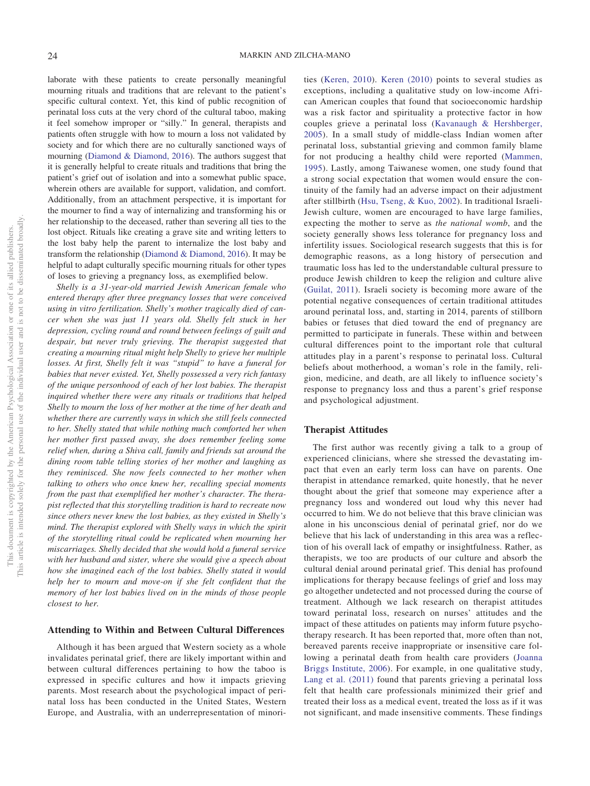laborate with these patients to create personally meaningful mourning rituals and traditions that are relevant to the patient's specific cultural context. Yet, this kind of public recognition of perinatal loss cuts at the very chord of the cultural taboo, making it feel somehow improper or "silly." In general, therapists and patients often struggle with how to mourn a loss not validated by society and for which there are no culturally sanctioned ways of mourning [\(Diamond & Diamond, 2016\)](#page-5-8). The authors suggest that it is generally helpful to create rituals and traditions that bring the patient's grief out of isolation and into a somewhat public space, wherein others are available for support, validation, and comfort. Additionally, from an attachment perspective, it is important for the mourner to find a way of internalizing and transforming his or her relationship to the deceased, rather than severing all ties to the lost object. Rituals like creating a grave site and writing letters to the lost baby help the parent to internalize the lost baby and transform the relationship [\(Diamond & Diamond, 2016\)](#page-5-8). It may be helpful to adapt culturally specific mourning rituals for other types of loses to grieving a pregnancy loss, as exemplified below.

*Shelly is a 31-year-old married Jewish American female who entered therapy after three pregnancy losses that were conceived using in vitro fertilization. Shelly's mother tragically died of cancer when she was just 11 years old. Shelly felt stuck in her depression, cycling round and round between feelings of guilt and despair, but never truly grieving. The therapist suggested that creating a mourning ritual might help Shelly to grieve her multiple losses. At first, Shelly felt it was "stupid" to have a funeral for babies that never existed. Yet, Shelly possessed a very rich fantasy of the unique personhood of each of her lost babies. The therapist inquired whether there were any rituals or traditions that helped Shelly to mourn the loss of her mother at the time of her death and whether there are currently ways in which she still feels connected to her. Shelly stated that while nothing much comforted her when her mother first passed away, she does remember feeling some relief when, during a Shiva call, family and friends sat around the dining room table telling stories of her mother and laughing as they reminisced. She now feels connected to her mother when talking to others who once knew her, recalling special moments from the past that exemplified her mother's character. The therapist reflected that this storytelling tradition is hard to recreate now since others never knew the lost babies, as they existed in Shelly's mind. The therapist explored with Shelly ways in which the spirit of the storytelling ritual could be replicated when mourning her miscarriages. Shelly decided that she would hold a funeral service with her husband and sister, where she would give a speech about how she imagined each of the lost babies. Shelly stated it would help her to mourn and move-on if she felt confident that the memory of her lost babies lived on in the minds of those people closest to her.*

#### **Attending to Within and Between Cultural Differences**

Although it has been argued that Western society as a whole invalidates perinatal grief, there are likely important within and between cultural differences pertaining to how the taboo is expressed in specific cultures and how it impacts grieving parents. Most research about the psychological impact of perinatal loss has been conducted in the United States, Western Europe, and Australia, with an underrepresentation of minorities [\(Keren, 2010\)](#page-5-4). [Keren \(2010\)](#page-5-4) points to several studies as exceptions, including a qualitative study on low-income African American couples that found that socioeconomic hardship was a risk factor and spirituality a protective factor in how couples grieve a perinatal loss [\(Kavanaugh & Hershberger,](#page-5-15) [2005\)](#page-5-15). In a small study of middle-class Indian women after perinatal loss, substantial grieving and common family blame for not producing a healthy child were reported [\(Mammen,](#page-6-3) [1995\)](#page-6-3). Lastly, among Taiwanese women, one study found that a strong social expectation that women would ensure the continuity of the family had an adverse impact on their adjustment after stillbirth [\(Hsu, Tseng, & Kuo, 2002\)](#page-5-16). In traditional Israeli-Jewish culture, women are encouraged to have large families, expecting the mother to serve as *the national womb*, and the society generally shows less tolerance for pregnancy loss and infertility issues. Sociological research suggests that this is for demographic reasons, as a long history of persecution and traumatic loss has led to the understandable cultural pressure to produce Jewish children to keep the religion and culture alive [\(Guilat, 2011\)](#page-5-17). Israeli society is becoming more aware of the potential negative consequences of certain traditional attitudes around perinatal loss, and, starting in 2014, parents of stillborn babies or fetuses that died toward the end of pregnancy are permitted to participate in funerals. These within and between cultural differences point to the important role that cultural attitudes play in a parent's response to perinatal loss. Cultural beliefs about motherhood, a woman's role in the family, religion, medicine, and death, are all likely to influence society's response to pregnancy loss and thus a parent's grief response and psychological adjustment.

## **Therapist Attitudes**

The first author was recently giving a talk to a group of experienced clinicians, where she stressed the devastating impact that even an early term loss can have on parents. One therapist in attendance remarked, quite honestly, that he never thought about the grief that someone may experience after a pregnancy loss and wondered out loud why this never had occurred to him. We do not believe that this brave clinician was alone in his unconscious denial of perinatal grief, nor do we believe that his lack of understanding in this area was a reflection of his overall lack of empathy or insightfulness. Rather, as therapists, we too are products of our culture and absorb the cultural denial around perinatal grief. This denial has profound implications for therapy because feelings of grief and loss may go altogether undetected and not processed during the course of treatment. Although we lack research on therapist attitudes toward perinatal loss, research on nurses' attitudes and the impact of these attitudes on patients may inform future psychotherapy research. It has been reported that, more often than not, bereaved parents receive inappropriate or insensitive care following a perinatal death from health care providers [\(Joanna](#page-5-18) [Briggs Institute, 2006\)](#page-5-18). For example, in one qualitative study, [Lang et al. \(2011\)](#page-5-6) found that parents grieving a perinatal loss felt that health care professionals minimized their grief and treated their loss as a medical event, treated the loss as if it was not significant, and made insensitive comments. These findings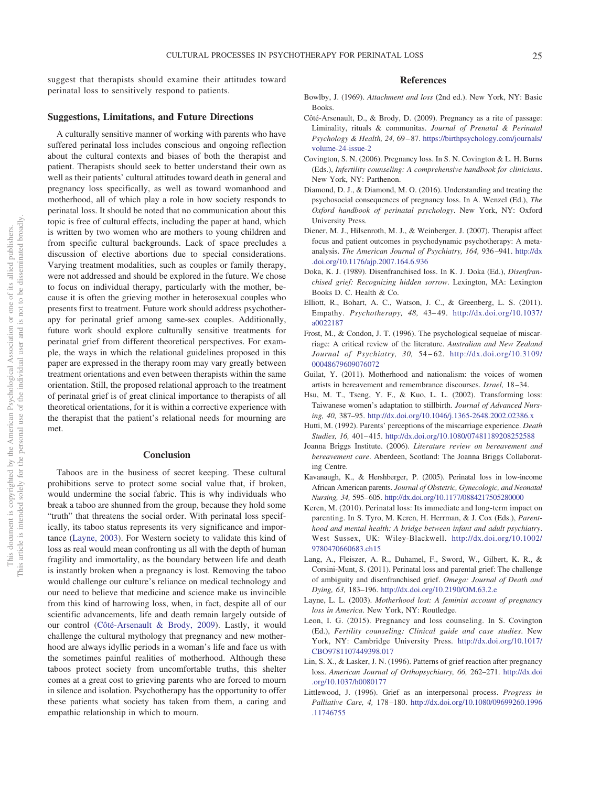suggest that therapists should examine their attitudes toward perinatal loss to sensitively respond to patients.

#### **Suggestions, Limitations, and Future Directions**

A culturally sensitive manner of working with parents who have suffered perinatal loss includes conscious and ongoing reflection about the cultural contexts and biases of both the therapist and patient. Therapists should seek to better understand their own as well as their patients' cultural attitudes toward death in general and pregnancy loss specifically, as well as toward womanhood and motherhood, all of which play a role in how society responds to perinatal loss. It should be noted that no communication about this topic is free of cultural effects, including the paper at hand, which is written by two women who are mothers to young children and from specific cultural backgrounds. Lack of space precludes a discussion of elective abortions due to special considerations. Varying treatment modalities, such as couples or family therapy, were not addressed and should be explored in the future. We chose to focus on individual therapy, particularly with the mother, because it is often the grieving mother in heterosexual couples who presents first to treatment. Future work should address psychotherapy for perinatal grief among same-sex couples. Additionally, future work should explore culturally sensitive treatments for perinatal grief from different theoretical perspectives. For example, the ways in which the relational guidelines proposed in this paper are expressed in the therapy room may vary greatly between treatment orientations and even between therapists within the same orientation. Still, the proposed relational approach to the treatment of perinatal grief is of great clinical importance to therapists of all theoretical orientations, for it is within a corrective experience with the therapist that the patient's relational needs for mourning are met.

#### **Conclusion**

Taboos are in the business of secret keeping. These cultural prohibitions serve to protect some social value that, if broken, would undermine the social fabric. This is why individuals who break a taboo are shunned from the group, because they hold some "truth" that threatens the social order. With perinatal loss specifically, its taboo status represents its very significance and importance [\(Layne, 2003\)](#page-5-5). For Western society to validate this kind of loss as real would mean confronting us all with the depth of human fragility and immortality, as the boundary between life and death is instantly broken when a pregnancy is lost. Removing the taboo would challenge our culture's reliance on medical technology and our need to believe that medicine and science make us invincible from this kind of harrowing loss, when, in fact, despite all of our scientific advancements, life and death remain largely outside of our control [\(Côté-Arsenault & Brody, 2009\)](#page-5-11). Lastly, it would challenge the cultural mythology that pregnancy and new motherhood are always idyllic periods in a woman's life and face us with the sometimes painful realities of motherhood. Although these taboos protect society from uncomfortable truths, this shelter comes at a great cost to grieving parents who are forced to mourn in silence and isolation. Psychotherapy has the opportunity to offer these patients what society has taken from them, a caring and empathic relationship in which to mourn.

#### **References**

- <span id="page-5-0"></span>Bowlby, J. (1969). *Attachment and loss* (2nd ed.). New York, NY: Basic Books.
- <span id="page-5-11"></span>Côté-Arsenault, D., & Brody, D. (2009). Pregnancy as a rite of passage: Liminality, rituals & communitas. *Journal of Prenatal & Perinatal Psychology & Health, 24,* 69 – 87. [https://birthpsychology.com/journals/](https://birthpsychology.com/journals/volume-24-issue-2) [volume-24-issue-2](https://birthpsychology.com/journals/volume-24-issue-2)
- <span id="page-5-1"></span>Covington, S. N. (2006). Pregnancy loss. In S. N. Covington & L. H. Burns (Eds.), *Infertility counseling: A comprehensive handbook for clinicians*. New York, NY: Parthenon.
- <span id="page-5-8"></span>Diamond, D. J., & Diamond, M. O. (2016). Understanding and treating the psychosocial consequences of pregnancy loss. In A. Wenzel (Ed.), *The Oxford handbook of perinatal psychology*. New York, NY: Oxford University Press.
- <span id="page-5-14"></span>Diener, M. J., Hilsenroth, M. J., & Weinberger, J. (2007). Therapist affect focus and patient outcomes in psychodynamic psychotherapy: A metaanalysis. *The American Journal of Psychiatry, 164,* 936 –941. [http://dx](http://dx.doi.org/10.1176/ajp.2007.164.6.936) [.doi.org/10.1176/ajp.2007.164.6.936](http://dx.doi.org/10.1176/ajp.2007.164.6.936)
- <span id="page-5-7"></span>Doka, K. J. (1989). Disenfranchised loss. In K. J. Doka (Ed.), *Disenfranchised grief: Recognizing hidden sorrow*. Lexington, MA: Lexington Books D. C. Health & Co.
- <span id="page-5-13"></span>Elliott, R., Bohart, A. C., Watson, J. C., & Greenberg, L. S. (2011). Empathy. *Psychotherapy, 48,* 43– 49. [http://dx.doi.org/10.1037/](http://dx.doi.org/10.1037/a0022187) [a0022187](http://dx.doi.org/10.1037/a0022187)
- <span id="page-5-3"></span>Frost, M., & Condon, J. T. (1996). The psychological sequelae of miscarriage: A critical review of the literature. *Australian and New Zealand Journal of Psychiatry, 30,* 54 – 62. [http://dx.doi.org/10.3109/](http://dx.doi.org/10.3109/00048679609076072) [00048679609076072](http://dx.doi.org/10.3109/00048679609076072)
- <span id="page-5-17"></span>Guilat, Y. (2011). Motherhood and nationalism: the voices of women artists in bereavement and remembrance discourses. *Israel,* 18 –34.
- <span id="page-5-16"></span>Hsu, M. T., Tseng, Y. F., & Kuo, L. L. (2002). Transforming loss: Taiwanese women's adaptation to stillbirth. *Journal of Advanced Nursing, 40,* 387–95. <http://dx.doi.org/10.1046/j.1365-2648.2002.02386.x>
- <span id="page-5-10"></span>Hutti, M. (1992). Parents' perceptions of the miscarriage experience. *Death Studies, 16,* 401– 415. <http://dx.doi.org/10.1080/07481189208252588>
- <span id="page-5-18"></span>Joanna Briggs Institute. (2006). *Literature review on bereavement and bereavement care*. Aberdeen, Scotland: The Joanna Briggs Collaborating Centre.
- <span id="page-5-15"></span>Kavanaugh, K., & Hershberger, P. (2005). Perinatal loss in low-income African American parents. *Journal of Obstetric, Gynecologic, and Neonatal Nursing, 34,* 595– 605. <http://dx.doi.org/10.1177/0884217505280000>
- <span id="page-5-4"></span>Keren, M. (2010). Perinatal loss: Its immediate and long-term impact on parenting. In S. Tyro, M. Keren, H. Herrman, & J. Cox (Eds.), *Parenthood and mental health: A bridge between infant and adult psychiatry*. West Sussex, UK: Wiley-Blackwell. [http://dx.doi.org/10.1002/](http://dx.doi.org/10.1002/9780470660683.ch15) [9780470660683.ch15](http://dx.doi.org/10.1002/9780470660683.ch15)
- <span id="page-5-6"></span>Lang, A., Fleiszer, A. R., Duhamel, F., Sword, W., Gilbert, K. R., & Corsini-Munt, S. (2011). Perinatal loss and parental grief: The challenge of ambiguity and disenfranchised grief. *Omega: Journal of Death and Dying, 63,* 183–196. <http://dx.doi.org/10.2190/OM.63.2.e>
- <span id="page-5-5"></span>Layne, L. L. (2003). *Motherhood lost: A feminist account of pregnancy loss in America*. New York, NY: Routledge.
- <span id="page-5-12"></span>Leon, I. G. (2015). Pregnancy and loss counseling. In S. Covington (Ed.), *Fertility counseling: Clinical guide and case studies*. New York, NY: Cambridge University Press. [http://dx.doi.org/10.1017/](http://dx.doi.org/10.1017/CBO9781107449398.017) [CBO9781107449398.017](http://dx.doi.org/10.1017/CBO9781107449398.017)
- <span id="page-5-9"></span>Lin, S. X., & Lasker, J. N. (1996). Patterns of grief reaction after pregnancy loss. *American Journal of Orthopsychiatry, 66,* 262–271. [http://dx.doi](http://dx.doi.org/10.1037/h0080177) [.org/10.1037/h0080177](http://dx.doi.org/10.1037/h0080177)
- <span id="page-5-2"></span>Littlewood, J. (1996). Grief as an interpersonal process. *Progress in Palliative Care, 4,* 178 –180. [http://dx.doi.org/10.1080/09699260.1996](http://dx.doi.org/10.1080/09699260.1996.11746755) [.11746755](http://dx.doi.org/10.1080/09699260.1996.11746755)